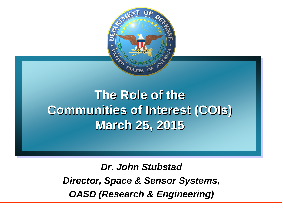

## **The Role of the Communities of Interest (COIs) March 25, 2015**

*Dr. John Stubstad Director, Space & Sensor Systems, OASD (Research & Engineering)*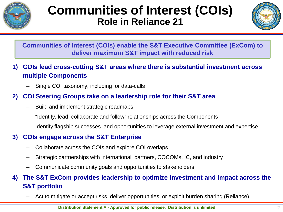

## **Communities of Interest (COIs) Role in Reliance 21**



**Communities of Interest (COIs) enable the S&T Executive Committee (ExCom) to deliver maximum S&T impact with reduced risk**

- **1) COIs lead cross-cutting S&T areas where there is substantial investment across multiple Components**
	- Single COI taxonomy, including for data-calls

#### **2) COI Steering Groups take on a leadership role for their S&T area**

- Build and implement strategic roadmaps
- "Identify, lead, collaborate and follow" relationships across the Components
- Identify flagship successes and opportunities to leverage external investment and expertise

#### **3) COIs engage across the S&T Enterprise**

- Collaborate across the COIs and explore COI overlaps
- Strategic partnerships with international partners, COCOMs, IC, and industry
- Communicate community goals and opportunities to stakeholders

#### **4) The S&T ExCom provides leadership to optimize investment and impact across the S&T portfolio**

– Act to mitigate or accept risks, deliver opportunities, or exploit burden sharing (Reliance)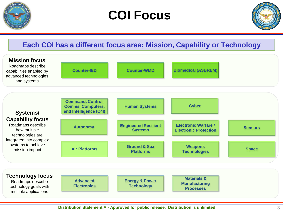

## **COI Focus**



#### **Each COI has a different focus area; Mission, Capability or Technology**



#### **Distribution Statement A - Approved for public release. Distribution is unlimited** 3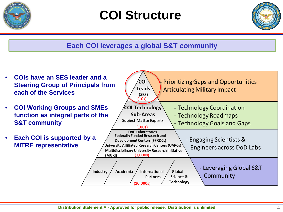

## **COI Structure**



### **Each COI leverages a global S&T community**

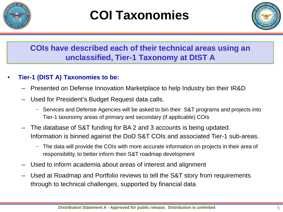

# **COI Taxonomies**



### **COIs have described each of their technical areas using an unclassified, Tier-1 Taxonomy at DIST A**

#### • **Tier-1 (DIST A) Taxonomies to be:**

- Presented on Defense Innovation Marketplace to help Industry bin their IR&D
- Used for President's Budget Request data calls.
	- − Services and Defense Agencies will be asked to bin their S&T programs and projects into Tier-1 taxonomy areas of primary and secondary (if applicable) COIs
- The database of S&T funding for BA 2 and 3 accounts is being updated. Information is binned against the DoD S&T COIs and associated Tier-1 sub-areas.
	- − The data will provide the COIs with more accurate information on projects in their area of responsibility, to better inform their S&T roadmap development
- Used to inform academia about areas of interest and alignment
- Used at Roadmap and Portfolio reviews to tell the S&T story from requirements through to technical challenges, supported by financial data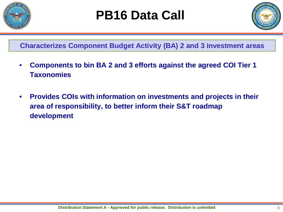

## **PB16 Data Call**



**Characterizes Component Budget Activity (BA) 2 and 3 investment areas**

- **Components to bin BA 2 and 3 efforts against the agreed COI Tier 1 Taxonomies**
- **Provides COIs with information on investments and projects in their area of responsibility, to better inform their S&T roadmap development**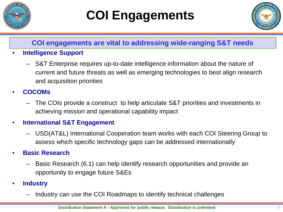

# **COI Engagements**



#### **COI engagements are vital to addressing wide-ranging S&T needs**

- **Intelligence Support**
	- S&T Enterprise requires up-to-date intelligence information about the nature of current and future threats as well as emerging technologies to best align research and acquisition priorities
- **COCOMs**
	- The COIs provide a construct to help articulate S&T priorities and investments in achieving mission and operational capability impact

#### • **International S&T Engagement**

– USD(AT&L) International Cooperation team works with each COI Steering Group to assess which specific technology gaps can be addressed internationally

#### • **Basic Research**

- Basic Research (6.1) can help identify research opportunities and provide an opportunity to engage future S&Es
- **Industry**
	- Industry can use the COI Roadmaps to identify technical challenges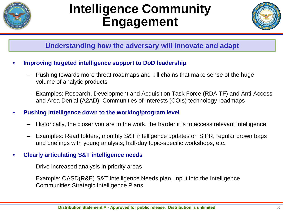

## **Intelligence Community Engagement**



#### **Understanding how the adversary will innovate and adapt**

- **Improving targeted intelligence support to DoD leadership**
	- Pushing towards more threat roadmaps and kill chains that make sense of the huge volume of analytic products
	- Examples: Research, Development and Acquisition Task Force (RDA TF) and Anti-Access and Area Denial (A2AD); Communities of Interests (COIs) technology roadmaps
- **Pushing intelligence down to the working/program level**
	- Historically, the closer you are to the work, the harder it is to access relevant intelligence
	- Examples: Read folders, monthly S&T intelligence updates on SIPR, regular brown bags and briefings with young analysts, half-day topic-specific workshops, etc.

#### • **Clearly articulating S&T intelligence needs**

- Drive increased analysis in priority areas
- Example: OASD(R&E) S&T Intelligence Needs plan, Input into the Intelligence Communities Strategic Intelligence Plans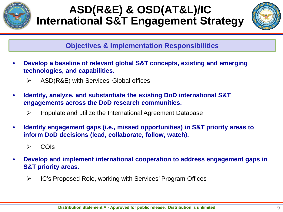

## **ASD(R&E) & OSD(AT&L)/IC International S&T Engagement Strategy**



#### **Objectives & Implementation Responsibilities**

- **Develop a baseline of relevant global S&T concepts, existing and emerging technologies, and capabilities.**
	- $\triangleright$  ASD(R&E) with Services' Global offices
- **Identify, analyze, and substantiate the existing DoD international S&T engagements across the DoD research communities.**
	- $\triangleright$  Populate and utilize the International Agreement Database
- **Identify engagement gaps (i.e., missed opportunities) in S&T priority areas to inform DoD decisions (lead, collaborate, follow, watch).**
	- $\triangleright$  COIs
- **Develop and implement international cooperation to address engagement gaps in S&T priority areas.**
	- **► IC's Proposed Role, working with Services' Program Offices**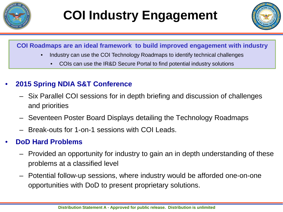



#### **COI Roadmaps are an ideal framework to build improved engagement with industry**

- Industry can use the COI Technology Roadmaps to identify technical challenges
	- COIs can use the IR&D Secure Portal to find potential industry solutions

#### • **2015 Spring NDIA S&T Conference**

- Six Parallel COI sessions for in depth briefing and discussion of challenges and priorities
- Seventeen Poster Board Displays detailing the Technology Roadmaps
- Break-outs for 1-on-1 sessions with COI Leads.

### • **DoD Hard Problems**

- Provided an opportunity for industry to gain an in depth understanding of these problems at a classified level
- Potential follow-up sessions, where industry would be afforded one-on-one opportunities with DoD to present proprietary solutions.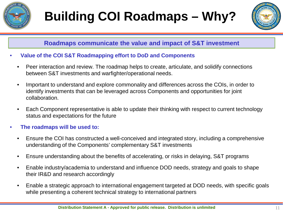



#### **Roadmaps communicate the value and impact of S&T investment**

- **Value of the COI S&T Roadmapping effort to DoD and Components**
	- Peer interaction and review. The roadmap helps to create, articulate, and solidify connections between S&T investments and warfighter/operational needs.
	- Important to understand and explore commonality and differences across the COIs, in order to identify investments that can be leveraged across Components and opportunities for joint collaboration.
	- Each Component representative is able to update their thinking with respect to current technology status and expectations for the future
- **The roadmaps will be used to:**
	- Ensure the COI has constructed a well-conceived and integrated story, including a comprehensive understanding of the Components' complementary S&T investments
	- Ensure understanding about the benefits of accelerating, or risks in delaying, S&T programs
	- Enable industry/academia to understand and influence DOD needs, strategy and goals to shape their IR&D and research accordingly
	- Enable a strategic approach to international engagement targeted at DOD needs, with specific goals while presenting a coherent technical strategy to international partners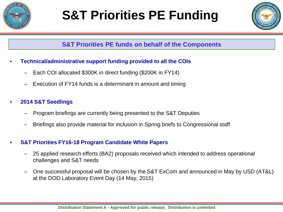

# **S&T Priorities PE Funding**



#### **S&T Priorities PE funds on behalf of the Components**

- **Technical/administrative support funding provided to all the COIs**
	- Each COI allocated \$300K in direct funding (\$200K in FY14)
	- Execution of FY14 funds is a determinant in amount and timing

#### • **2014 S&T Seedlings**

- Program briefings are currently being presented to the S&T Deputies
- Briefings also provide material for inclusion in Spring briefs to Congressional staff

#### • **S&T Priorities FY16-18 Program Candidate White Papers**

- 25 applied research efforts (BA2) proposals received which intended to address operational challenges and S&T needs
- One successful proposal will be chosen by the S&T ExCom and announced in May by USD (AT&L) at the DOD Laboratory Event Day (14 May, 2015)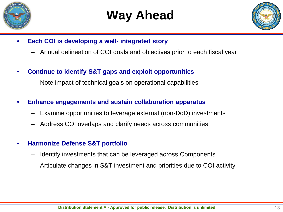

## **Way Ahead**



- **Each COI is developing a well- integrated story**
	- Annual delineation of COI goals and objectives prior to each fiscal year
- **Continue to identify S&T gaps and exploit opportunities** 
	- Note impact of technical goals on operational capabilities
- **Enhance engagements and sustain collaboration apparatus** 
	- Examine opportunities to leverage external (non-DoD) investments
	- Address COI overlaps and clarify needs across communities
- **Harmonize Defense S&T portfolio**
	- Identify investments that can be leveraged across Components
	- Articulate changes in S&T investment and priorities due to COI activity